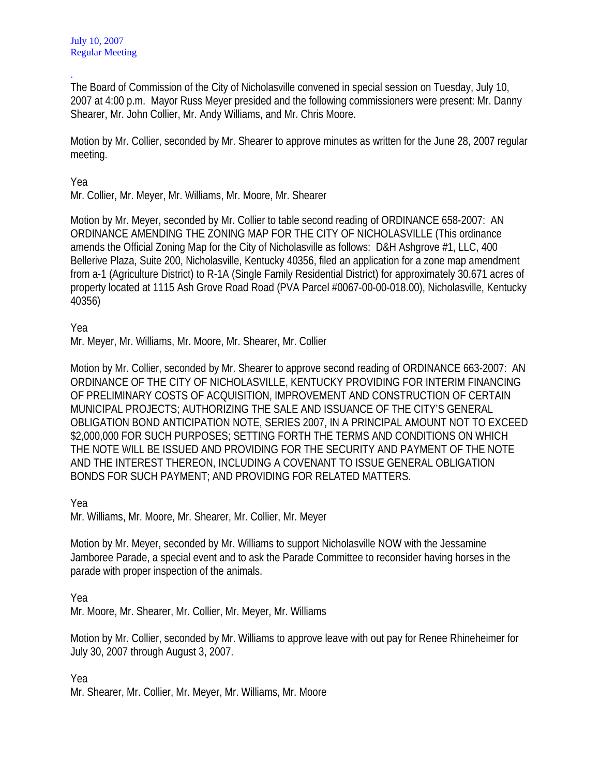. The Board of Commission of the City of Nicholasville convened in special session on Tuesday, July 10, 2007 at 4:00 p.m. Mayor Russ Meyer presided and the following commissioners were present: Mr. Danny Shearer, Mr. John Collier, Mr. Andy Williams, and Mr. Chris Moore.

Motion by Mr. Collier, seconded by Mr. Shearer to approve minutes as written for the June 28, 2007 regular meeting.

## Yea

Mr. Collier, Mr. Meyer, Mr. Williams, Mr. Moore, Mr. Shearer

Motion by Mr. Meyer, seconded by Mr. Collier to table second reading of ORDINANCE 658-2007: AN ORDINANCE AMENDING THE ZONING MAP FOR THE CITY OF NICHOLASVILLE (This ordinance amends the Official Zoning Map for the City of Nicholasville as follows: D&H Ashgrove #1, LLC, 400 Bellerive Plaza, Suite 200, Nicholasville, Kentucky 40356, filed an application for a zone map amendment from a-1 (Agriculture District) to R-1A (Single Family Residential District) for approximately 30.671 acres of property located at 1115 Ash Grove Road Road (PVA Parcel #0067-00-00-018.00), Nicholasville, Kentucky 40356)

Yea

Mr. Meyer, Mr. Williams, Mr. Moore, Mr. Shearer, Mr. Collier

Motion by Mr. Collier, seconded by Mr. Shearer to approve second reading of ORDINANCE 663-2007: AN ORDINANCE OF THE CITY OF NICHOLASVILLE, KENTUCKY PROVIDING FOR INTERIM FINANCING OF PRELIMINARY COSTS OF ACQUISITION, IMPROVEMENT AND CONSTRUCTION OF CERTAIN MUNICIPAL PROJECTS; AUTHORIZING THE SALE AND ISSUANCE OF THE CITY'S GENERAL OBLIGATION BOND ANTICIPATION NOTE, SERIES 2007, IN A PRINCIPAL AMOUNT NOT TO EXCEED \$2,000,000 FOR SUCH PURPOSES; SETTING FORTH THE TERMS AND CONDITIONS ON WHICH THE NOTE WILL BE ISSUED AND PROVIDING FOR THE SECURITY AND PAYMENT OF THE NOTE AND THE INTEREST THEREON, INCLUDING A COVENANT TO ISSUE GENERAL OBLIGATION BONDS FOR SUCH PAYMENT; AND PROVIDING FOR RELATED MATTERS.

Yea

Mr. Williams, Mr. Moore, Mr. Shearer, Mr. Collier, Mr. Meyer

Motion by Mr. Meyer, seconded by Mr. Williams to support Nicholasville NOW with the Jessamine Jamboree Parade, a special event and to ask the Parade Committee to reconsider having horses in the parade with proper inspection of the animals.

Yea

Mr. Moore, Mr. Shearer, Mr. Collier, Mr. Meyer, Mr. Williams

Motion by Mr. Collier, seconded by Mr. Williams to approve leave with out pay for Renee Rhineheimer for July 30, 2007 through August 3, 2007.

Yea

Mr. Shearer, Mr. Collier, Mr. Meyer, Mr. Williams, Mr. Moore